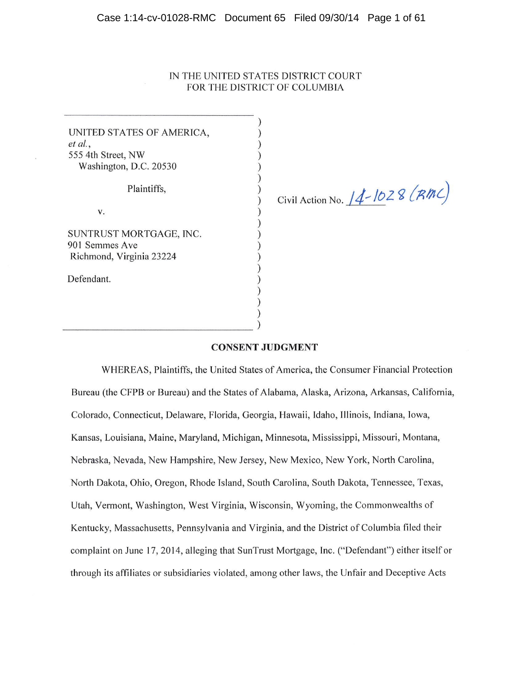#### Case 1:14-cv-01028-RMC Document 65 Filed 09/30/14 Page 1 of 61

# IN THE UNITED STATES DISTRICT COURT FOR THE DISTRICT OF COLUMBIA

) ) )<br>) )

 $\lambda$  $\mathcal{E}$ 

| UNITED STATES OF AMERICA, |  |
|---------------------------|--|
| et al.,                   |  |
| 555 4th Street, NW        |  |
| Washington, D.C. 20530    |  |
| Plaintiffs,               |  |
|                           |  |

SUNTRUST MORTGAGE, INC. 901 Semmes Ave Richmond, Virginia 23224

Defendant.

Civil Action No.  $14$ -1028 (RMC)

# **CONSENT JUDGMENT**

WHEREAS, Plaintiffs, the United States of America, the Consumer Financial Protection Bureau (the CFPB or Bureau) and the States of Alabama, Alaska, Arizona, Arkansas, California, Colorado, Connecticut, Delaware, Florida, Georgia, Hawaii, Idaho, Illinois, Indiana, Iowa, Kansas, Louisiana, Maine, Maryland, Michigan, Minnesota, Mississippi, Missouri, Montana, Nebraska, Nevada, New Hampshire, New Jersey, New Mexico, New York, North Carolina, North Dakota, Ohio, Oregon, Rhode Island, South Carolina, South Dakota, Tennessee, Texas, Utah, Vermont, Washington, West Virginia, Wisconsin, Wyoming, the Commonwealths of Kentucky, Massachusetts, Pennsylvania and Virginia, and the District of Columbia filed their complaint on June 17, 2014, alleging that SunTrust Mortgage, Inc. ("Defendant") either itself or through its affiliates or subsidiaries violated, among other laws, the Unfair and Deceptive Acts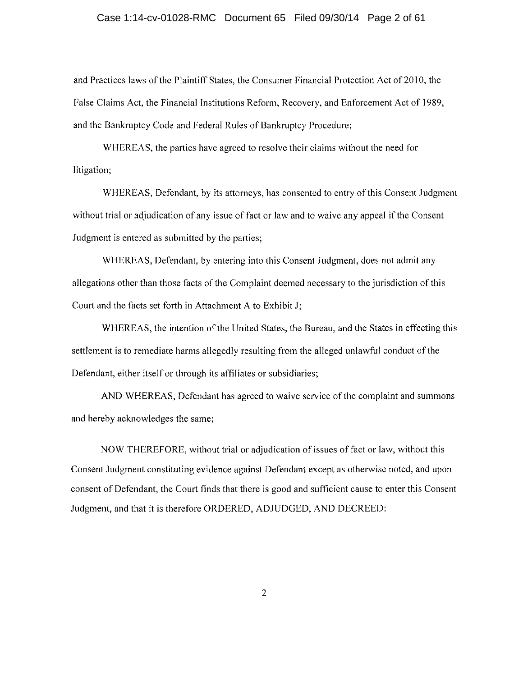### Case 1:14-cv-01028-RMC Document 65 Filed 09/30/14 Page 2 of 61

and Practices laws of the Plaintiff States, the Consumer Financial Protection Act of 2010, the False Claims Act, the Financial Institutions Reform, Recovery, and Enforcement Act of 1989, and the Bankruptcy Code and Federal Rules of Bankruptcy Procedure;

WHEREAS, the parties have agreed to resolve their claims without the need for litigation:

WHEREAS, Defendant, by its attorneys, has consented to entry of this Consent Judgment without trial or adjudication of any issue of fact or law and to waive any appeal if the Consent Judgment is entered as submitted by the parties;

WHEREAS, Defendant, by entering into this Consent Judgment, does not admit any allegations other than those facts of the Complaint deemed necessary to the jurisdiction of this Court and the facts set forth in Attachment A to Exhibit J;

WHEREAS, the intention of the United States, the Bureau, and the States in effecting this settlement is to remediate harms allegedly resulting from the alleged unlawful conduct of the Defendant, either itself or through its affiliates or subsidiaries;

AND WHEREAS, Defendant has agreed to waive service of the complaint and summons and hereby acknowledges the same;

NOW THEREFORE, without trial or adjudication of issues of fact or law, without this Consent Judgment constituting evidence against Defendant except as otherwise noted, and upon consent of Defendant, the Court finds that there is good and sufficient cause to enter this Consent Judgment, and that it is therefore ORDERED, ADJUDGED, AND DECREED:

 $\overline{2}$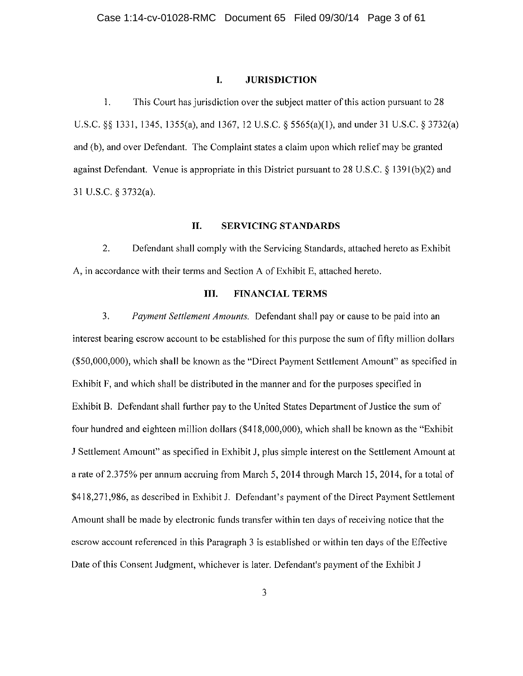#### I. **JURISDICTION**

1. This Court has jurisdiction over the subject matter of this action pursuant to 28 U.S.C. § § 1331, 1345, 1355(a), and 1367, 12 U.S.C. § 5565(a)(1), and under 31 U.S.C. § 3732(a) and (b), and over Defendant. The Complaint states a claim upon which relief may be granted against Defendant. Venue is appropriate in this District pursuant to 28 U.S.C.  $\S$  1391(b)(2) and 31 U.S.C. § 3732(a).

#### II. **SERVICING STANDARDS**

 $\overline{2}$ . Defendant shall comply with the Servicing Standards, attached hereto as Exhibit A, in accordance with their terms and Section A of Exhibit E, attached hereto.

#### Ш. **FINANCIAL TERMS**

 $\overline{3}$ . Payment Settlement Amounts. Defendant shall pay or cause to be paid into an interest bearing escrow account to be established for this purpose the sum of fifty million dollars (\$50,000,000), which shall be known as the "Direct Payment Settlement Amount" as specified in Exhibit F, and which shall be distributed in the manner and for the purposes specified in Exhibit B. Defendant shall further pay to the United States Department of Justice the sum of four hundred and eighteen million dollars (\$418,000,000), which shall be known as the "Exhibit" J Settlement Amount" as specified in Exhibit J, plus simple interest on the Settlement Amount at a rate of 2.375% per annum accruing from March 5, 2014 through March 15, 2014, for a total of \$418,271,986, as described in Exhibit J. Defendant's payment of the Direct Payment Settlement Amount shall be made by electronic funds transfer within ten days of receiving notice that the escrow account referenced in this Paragraph 3 is established or within ten days of the Effective Date of this Consent Judgment, whichever is later. Defendant's payment of the Exhibit J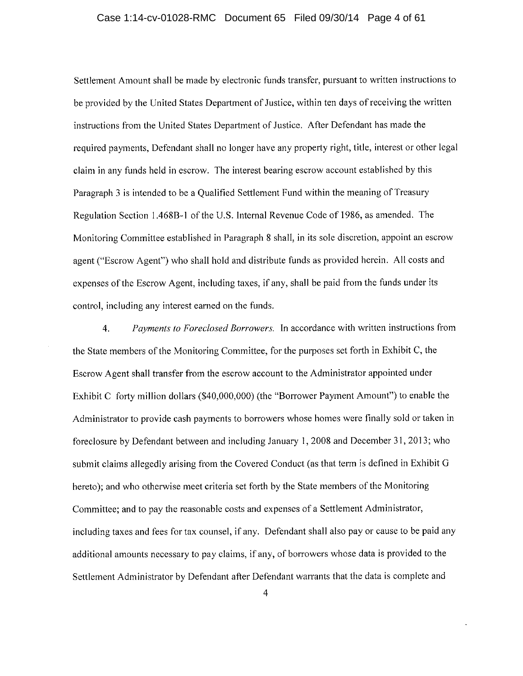### Case 1:14-cv-01028-RMC Document 65 Filed 09/30/14 Page 4 of 61

Settlement Amount shall be made by electronic funds transfer, pursuant to written instructions to be provided by the United States Department of Justice, within ten days of receiving the written instructions from the United States Department of Justice. After Defendant has made the required payments. Defendant shall no longer have any property right, title, interest or other legal claim in any funds held in escrow. The interest bearing escrow account established by this Paragraph 3 is intended to be a Qualified Settlement Fund within the meaning of Treasury Regulation Section 1.468B-1 of the U.S. Internal Revenue Code of 1986, as amended. The Monitoring Committee established in Paragraph 8 shall, in its sole discretion, appoint an escrow agent ("Escrow Agent") who shall hold and distribute funds as provided herein. All costs and expenses of the Escrow Agent, including taxes, if any, shall be paid from the funds under its control, including any interest earned on the funds.

Payments to Foreclosed Borrowers. In accordance with written instructions from  $\overline{4}$ . the State members of the Monitoring Committee, for the purposes set forth in Exhibit C, the Escrow Agent shall transfer from the escrow account to the Administrator appointed under Exhibit C forty million dollars (\$40,000,000) (the "Borrower Payment Amount") to enable the Administrator to provide cash payments to borrowers whose homes were finally sold or taken in foreclosure by Defendant between and including January 1, 2008 and December 31, 2013; who submit claims allegedly arising from the Covered Conduct (as that term is defined in Exhibit G hereto); and who otherwise meet criteria set forth by the State members of the Monitoring Committee; and to pay the reasonable costs and expenses of a Settlement Administrator, including taxes and fees for tax counsel, if any. Defendant shall also pay or cause to be paid any additional amounts necessary to pay claims, if any, of borrowers whose data is provided to the Settlement Administrator by Defendant after Defendant warrants that the data is complete and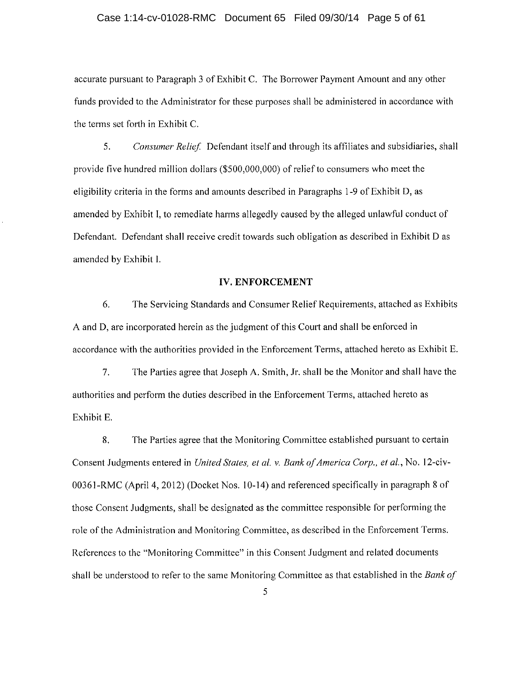### Case 1:14-cv-01028-RMC Document 65 Filed 09/30/14 Page 5 of 61

accurate pursuant to Paragraph 3 of Exhibit C. The Borrower Payment Amount and any other funds provided to the Administrator for these purposes shall be administered in accordance with the terms set forth in Exhibit C.

Consumer Relief. Defendant itself and through its affiliates and subsidiaries, shall  $5.$ provide five hundred million dollars (\$500,000,000) of relief to consumers who meet the eligibility criteria in the forms and amounts described in Paragraphs 1-9 of Exhibit D, as amended by Exhibit I, to remediate harms allegedly caused by the alleged unlawful conduct of Defendant. Defendant shall receive credit towards such obligation as described in Exhibit D as amended by Exhibit I.

#### **IV. ENFORCEMENT**

6. The Servicing Standards and Consumer Relief Requirements, attached as Exhibits A and D, are incorporated herein as the judgment of this Court and shall be enforced in accordance with the authorities provided in the Enforcement Terms, attached hereto as Exhibit E.

 $7<sub>1</sub>$ The Parties agree that Joseph A. Smith, Jr. shall be the Monitor and shall have the authorities and perform the duties described in the Enforcement Terms, attached hereto as Exhibit E.

8. The Parties agree that the Monitoring Committee established pursuant to certain Consent Judgments entered in United States, et al. v. Bank of America Corp., et al., No. 12-civ-00361-RMC (April 4, 2012) (Docket Nos. 10-14) and referenced specifically in paragraph 8 of those Consent Judgments, shall be designated as the committee responsible for performing the role of the Administration and Monitoring Committee, as described in the Enforcement Terms. References to the "Monitoring Committee" in this Consent Judgment and related documents shall be understood to refer to the same Monitoring Committee as that established in the Bank of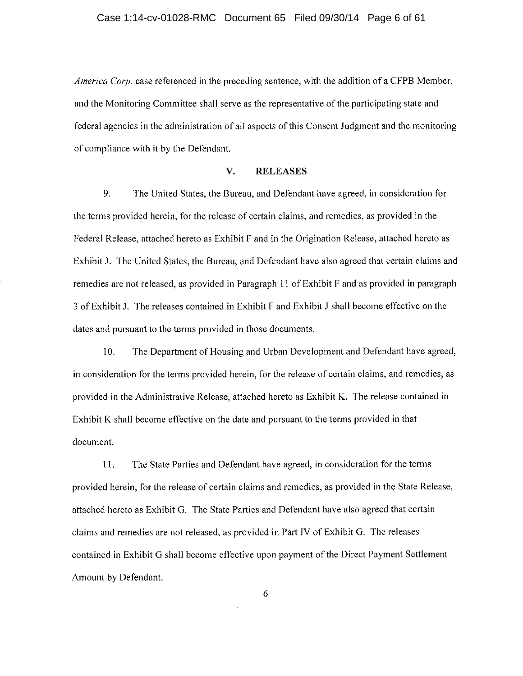### Case 1:14-cv-01028-RMC Document 65 Filed 09/30/14 Page 6 of 61

America Corp. case referenced in the preceding sentence, with the addition of a CFPB Member, and the Monitoring Committee shall serve as the representative of the participating state and federal agencies in the administration of all aspects of this Consent Judgment and the monitoring of compliance with it by the Defendant.

#### V. **RELEASES**

9. The United States, the Bureau, and Defendant have agreed, in consideration for the terms provided herein, for the release of certain claims, and remedies, as provided in the Federal Release, attached hereto as Exhibit F and in the Origination Release, attached hereto as Exhibit J. The United States, the Bureau, and Defendant have also agreed that certain claims and remedies are not released, as provided in Paragraph 11 of Exhibit F and as provided in paragraph 3 of Exhibit J. The releases contained in Exhibit F and Exhibit J shall become effective on the dates and pursuant to the terms provided in those documents.

 $10.$ The Department of Housing and Urban Development and Defendant have agreed, in consideration for the terms provided herein, for the release of certain claims, and remedies, as provided in the Administrative Release, attached hereto as Exhibit K. The release contained in Exhibit K shall become effective on the date and pursuant to the terms provided in that document.

The State Parties and Defendant have agreed, in consideration for the terms  $11.$ provided herein, for the release of certain claims and remedies, as provided in the State Release, attached hereto as Exhibit G. The State Parties and Defendant have also agreed that certain claims and remedies are not released, as provided in Part IV of Exhibit G. The releases contained in Exhibit G shall become effective upon payment of the Direct Payment Settlement Amount by Defendant.

6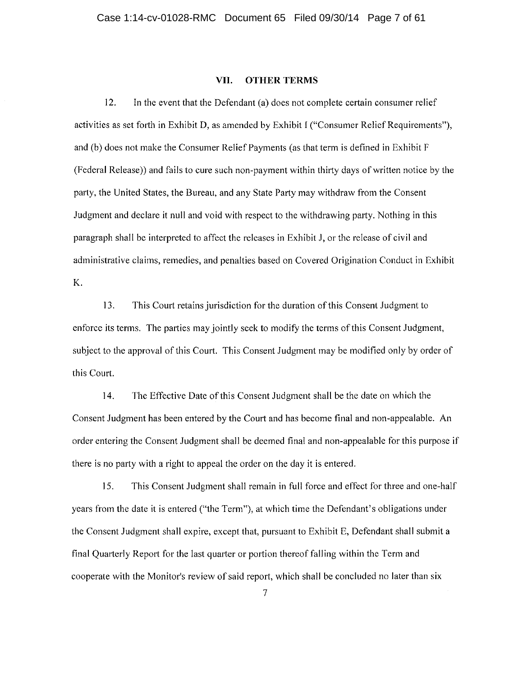#### VII. **OTHER TERMS**

 $12.$ In the event that the Defendant (a) does not complete certain consumer relief activities as set forth in Exhibit D, as amended by Exhibit I ("Consumer Relief Requirements"), and (b) does not make the Consumer Relief Payments (as that term is defined in Exhibit F (Federal Release)) and fails to cure such non-payment within thirty days of written notice by the party, the United States, the Bureau, and any State Party may withdraw from the Consent Judgment and declare it null and void with respect to the withdrawing party. Nothing in this paragraph shall be interpreted to affect the releases in Exhibit J, or the release of civil and administrative claims, remedies, and penalties based on Covered Origination Conduct in Exhibit K.

13. This Court retains jurisdiction for the duration of this Consent Judgment to enforce its terms. The parties may jointly seek to modify the terms of this Consent Judgment, subject to the approval of this Court. This Consent Judgment may be modified only by order of this Court.

14. The Effective Date of this Consent Judgment shall be the date on which the Consent Judgment has been entered by the Court and has become final and non-appealable. An order entering the Consent Judgment shall be deemed final and non-appealable for this purpose if there is no party with a right to appeal the order on the day it is entered.

 $15.$ This Consent Judgment shall remain in full force and effect for three and one-half years from the date it is entered ("the Term"), at which time the Defendant's obligations under the Consent Judgment shall expire, except that, pursuant to Exhibit E, Defendant shall submit a final Quarterly Report for the last quarter or portion thereof falling within the Term and cooperate with the Monitor's review of said report, which shall be concluded no later than six

 $\overline{7}$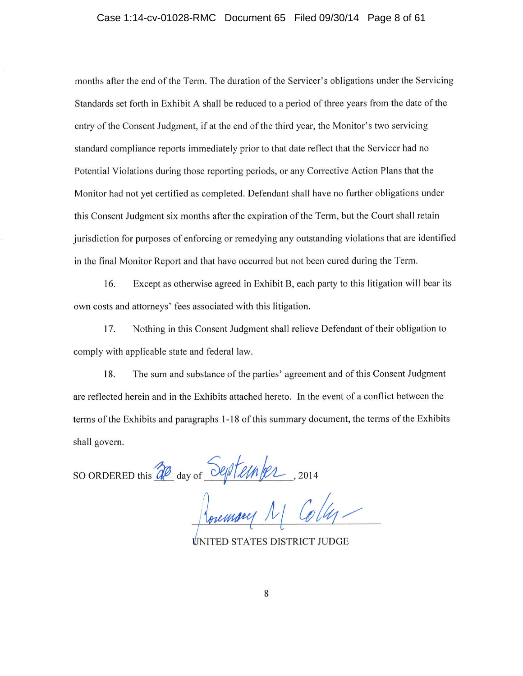### Case 1:14-cv-01028-RMC Document 65 Filed 09/30/14 Page 8 of 61

months after the end of the Term. The duration of the Servicer's obligations under the Servicing Standards set forth in Exhibit A shall be reduced to a period of three years from the date of the entry of the Consent Judgment, if at the end of the third vear, the Monitor's two servicing standard compliance reports immediately prior to that date reflect that the Servicer had no Potential Violations during those reporting periods, or any Corrective Action Plans that the Monitor had not yet certified as completed. Defendant shall have no further obligations under this Consent Judgment six months after the expiration of the Term, but the Court shall retain jurisdiction for purposes of enforcing or remedying any outstanding violations that are identified in the final Monitor Report and that have occurred but not been cured during the Term.

Except as otherwise agreed in Exhibit B, each party to this litigation will bear its 16. own costs and attorneys' fees associated with this litigation.

17. Nothing in this Consent Judgment shall relieve Defendant of their obligation to comply with applicable state and federal law.

18. The sum and substance of the parties' agreement and of this Consent Judgment are reflected herein and in the Exhibits attached hereto. In the event of a conflict between the terms of the Exhibits and paragraphs 1-18 of this summary document, the terms of the Exhibits shall govern.

so ORDERED this 20 day of September, 2014

**INITED STATES DISTRICT JUDGE**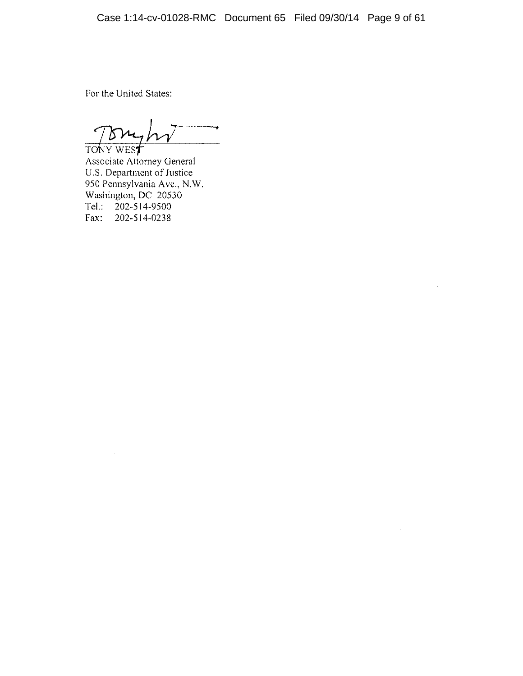$\sim$ 

For the United States:

רצו ' TONY WEST

Associate Attorney General U.S. Department of Justice 950 Pennsylvania Ave., N.W. Washington, DC 20530 Tel.:  $202 - 514 - 9500$ Fax: 202-514-0238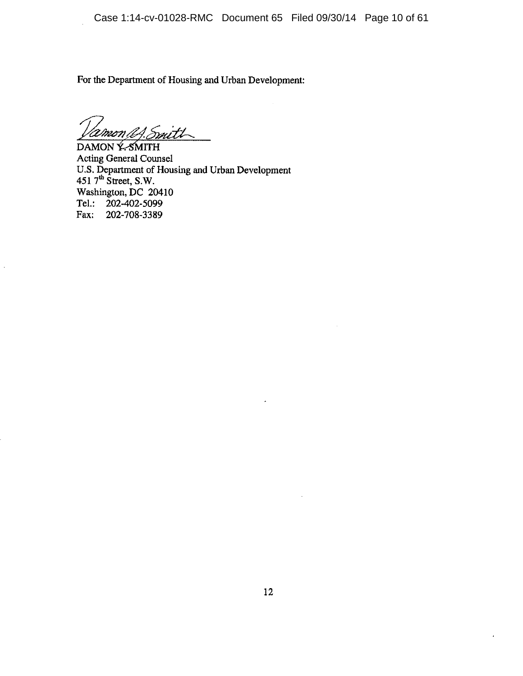For the Department of Housing and Urban Development:

.<br>with 'Umrn

Ŷ.

DAMON Y-SMITH **Acting General Counsel** U.S. Department of Housing and Urban Development<br>451 7<sup>th</sup> Street, S.W.<br>Washington, DC 20410<br>Tel.: 202-402-5099 Fax: 202-708-3389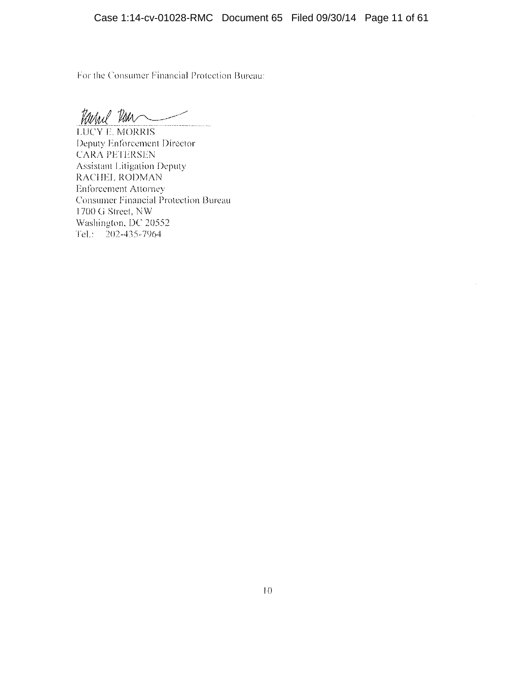For the Consumer Financial Protection Bureau:

Varhel Ran

**LUCY E. MORRIS** Deputy Enforcement Director **CARA PETERSEN** Assistant Litigation Deputy RACHEL RODMAN **Enforcement Attorney** Consumer Financial Protection Bureau 1700 G Street, NW Washington, DC 20552 Tel.: 202-435-7964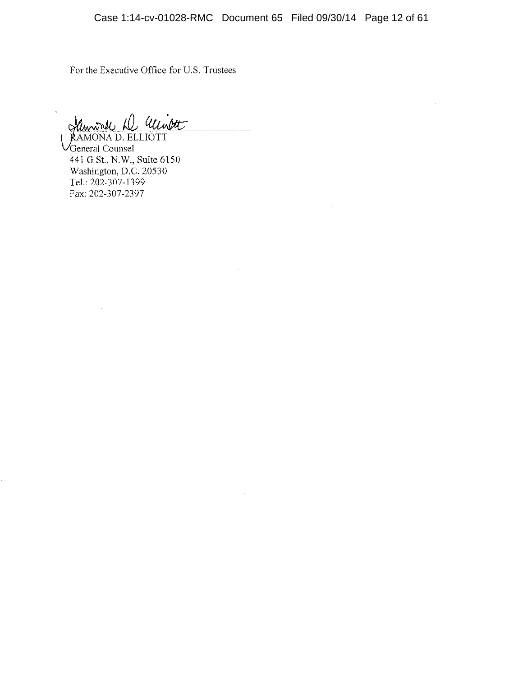$\bar{z}$ 

For the Executive Office for U.S. Trustees

Unitt Henri 1

RAMONA D. ELLIOTT  $\sqrt{\text{General} \text{ Council}}$ 441 G St., N.W., Suite 6150 Washington, D.C. 20530 Tel.: 202-307-1399 Fax: 202-307-2397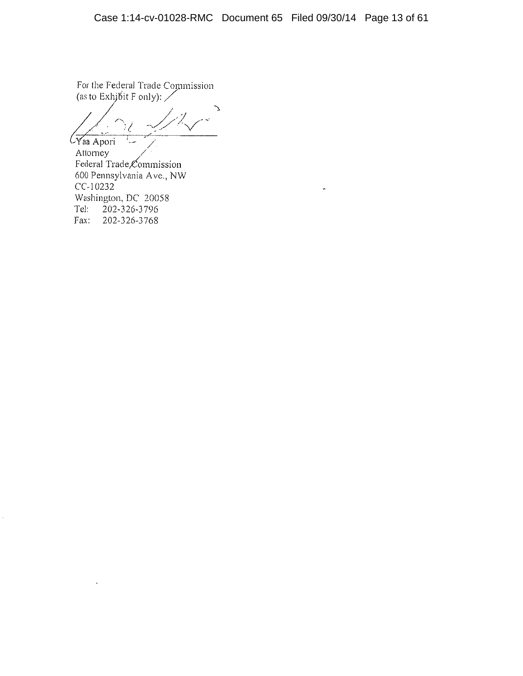For the Federal Trade Commission<br>(as to Exhibit F only):

 $\overline{\mathcal{C}$ Yaa Apori

Attorney Federal Trade Commission 600 Pennsylvania Ave., NW CC-10232 Washington, DC 20058 202-326-3796 Tel: 202-326-3768 Fax:

à.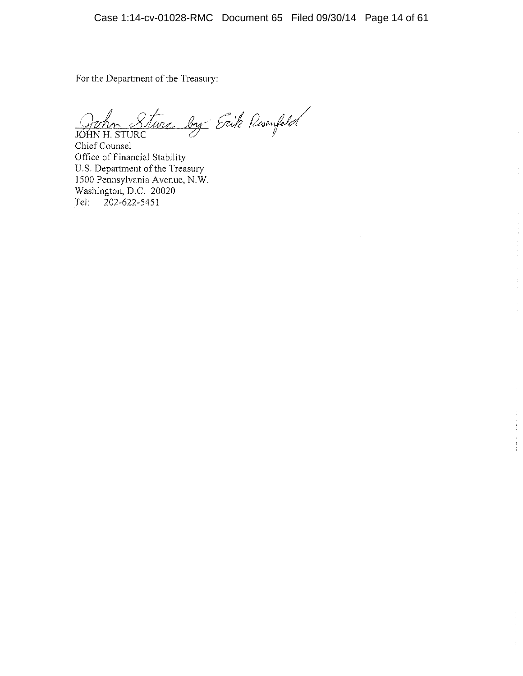For the Department of the Treasury:

Sture by Erik Resemptor JÓHN H. STURC

Chief Counsel Office of Financial Stability U.S. Department of the Treasury 1500 Pennsylvania Avenue, N.W.<br>Washington, D.C. 20020 202-622-5451 Tel: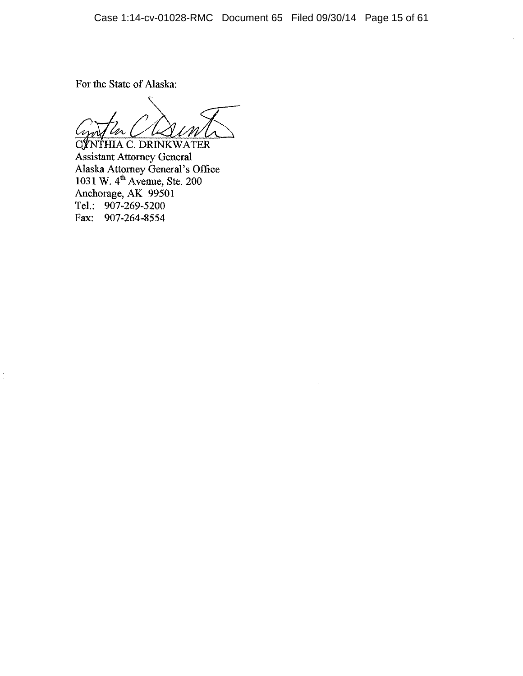For the State of Alaska:

'Ur

**CYNTHIA C. DRINKWATER** Assistant Attorney General<br>Alaska Attorney General's Office<br>1031 W. 4<sup>th</sup> Avenue, Ste. 200<br>Anchorage, AK 99501<br>Tel.: 907-269-5200 Fax: 907-264-8554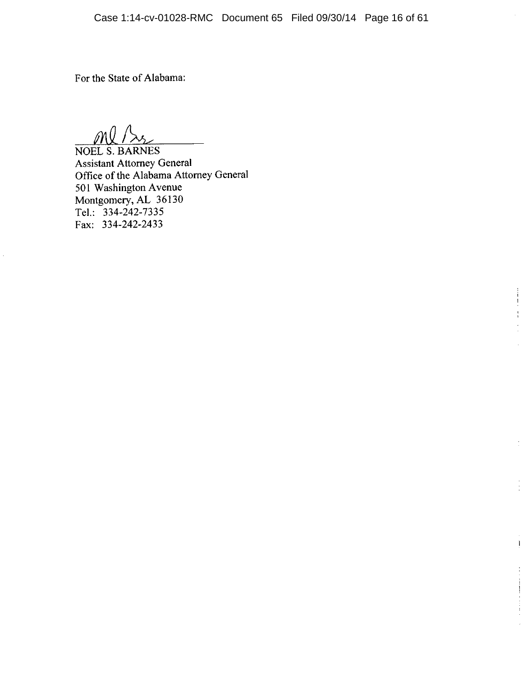$\begin{array}{c}\n\vdots \\
\downarrow \\
\downarrow\n\end{array}$ ÷.  $\overline{\phantom{a}}$ 

 $\mathbf{I}$ 

For the State of Alabama:

Ml/S

NOEL S. BARNES **Assistant Attorney General** Office of the Alabama Attorney General 501 Washington Avenue<br>Montgomery, AL 36130<br>Tel.: 334-242-7335 Fax: 334-242-2433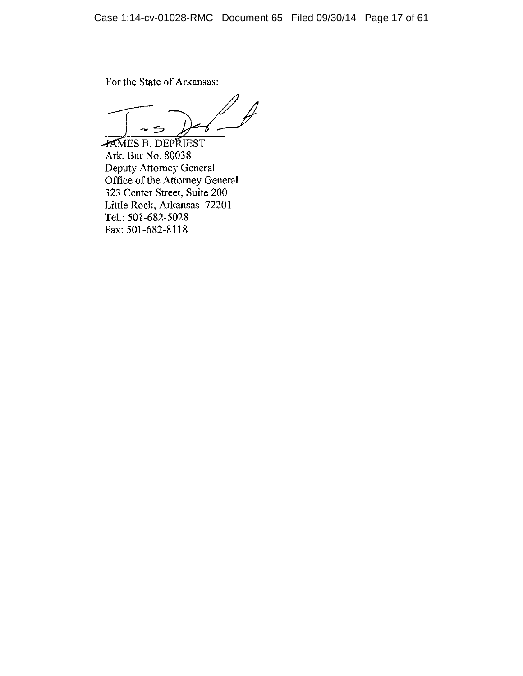For the State of Arkansas:

JAMES B. DEPRIEST Ark. Bar No. 80038 **EXECUTE:** No. 80058<br>Deputy Attorney General<br>Office of the Attorney General<br>323 Center Street, Suite 200<br>Little Rock, Arkansas 72201 Tel.: 501-682-5028 Fax: 501-682-8118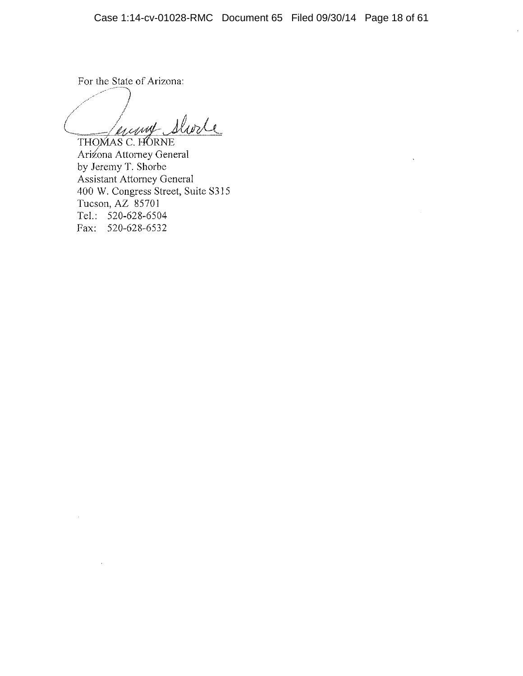For the State of Arizona:

Juing Shorte

THOMAS C. HORNE Arizona Attorney General by Jeremy T. Shorbe Assistant Attorney General 400 W. Congress Street, Suite S315 Tucson,  $AZ$  85701 Tel.: 520-628-6504 Fax: 520-628-6532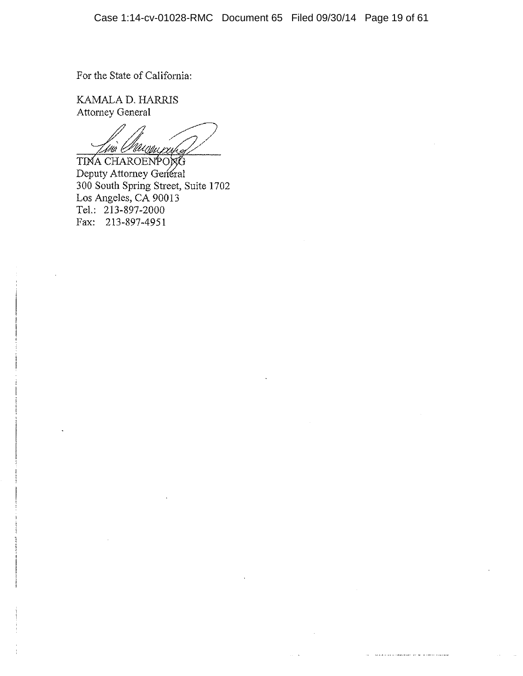**The substitution of the property and state** 

For the State of California:

KAMALA D. HARRIS Attorney General

tina Marcauscuha TINA CHAROENPONG

Deputy Attorney General 300 South Spring Street, Suite 1702<br>Los Angeles, CA 90013 Tel.: 213-897-2000 Fax: 213-897-4951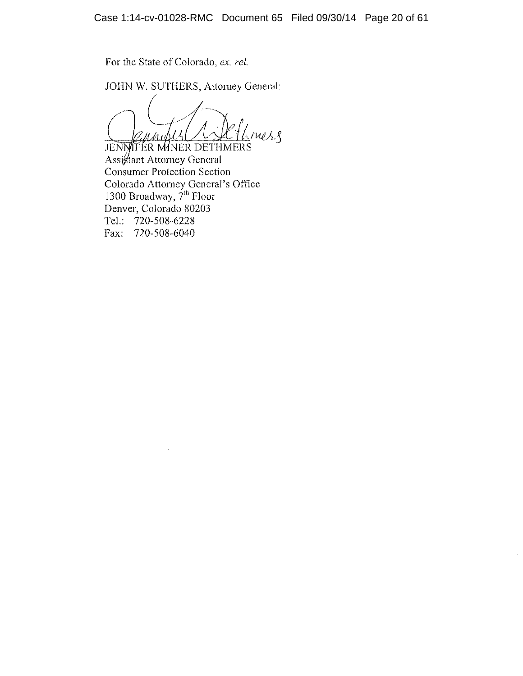For the State of Colorado, ex. rel.

JOHN W. SUTHERS, Attorney General:

(mes.g Undi

**JENNIFER MINER DETHMERS** Assiglant Attorney General **Consumer Protection Section** Colorado Attorney General's Office<br>1300 Broadway, 7<sup>th</sup> Floor Denver, Colorado 80203 Tel.: 720-508-6228 Fax: 720-508-6040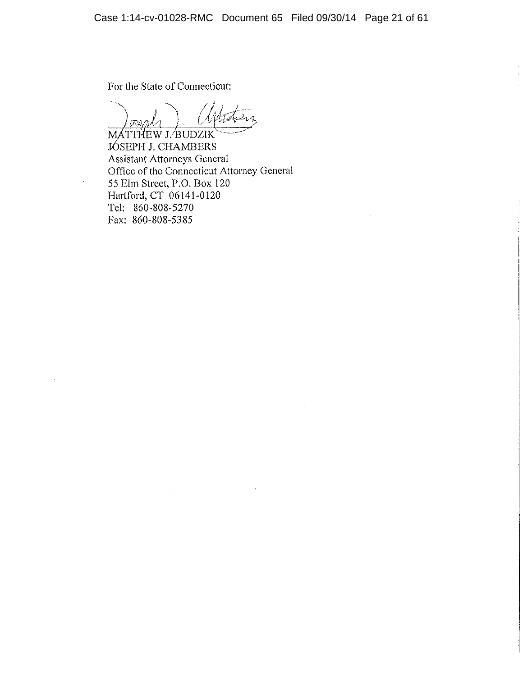For the State of Connecticut:

MATTHEW J. BUDZIK JÓSEPH J. CHAMBERS **Assistant Attorneys General** Office of the Connecticut Attorney General 55 Elm Street, P.O. Box 120 Hartford, CT 06141-0120 Tel: 860-808-5270 Fax: 860-808-5385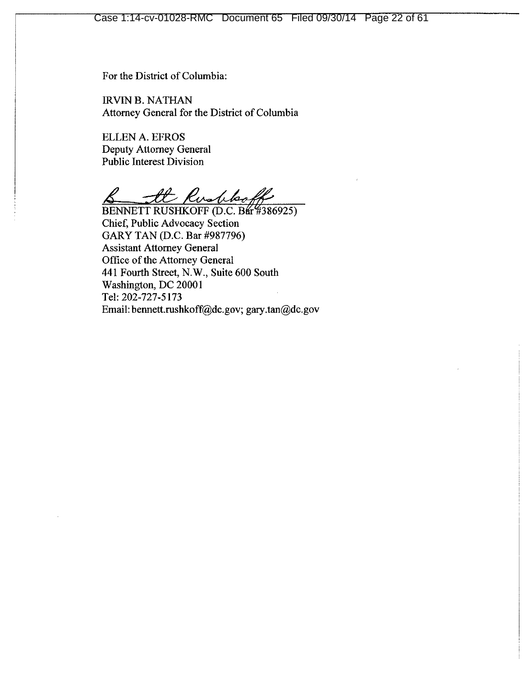For the District of Columbia:

**IRVIN B. NATHAN** Attorney General for the District of Columbia

**ELLEN A. EFROS Deputy Attorney General** Public Interest Division

It Rushboff

BENNETT RUSHKOFF (D.C. Bar #386925) Chief, Public Advocacy Section GARY TAN (D.C. Bar #987796) **Assistant Attorney General** Office of the Attorney General 441 Fourth Street, N.W., Suite 600 South Washington, DC 20001 Tel: 202-727-5173 Email: bennett.rushkoff@dc.gov; gary.tan@dc.gov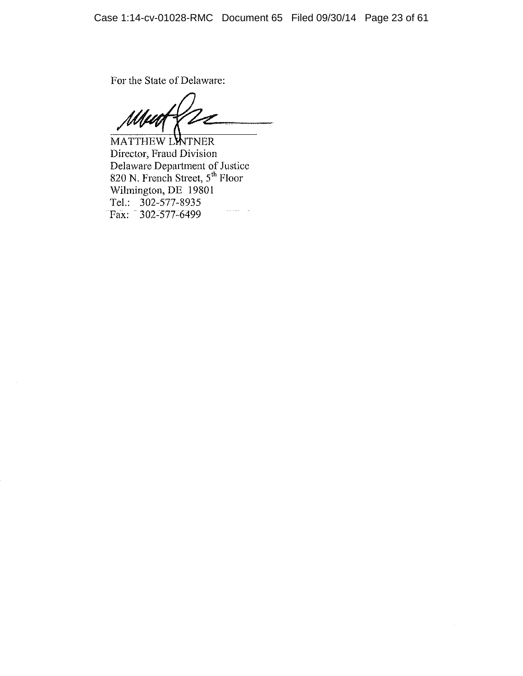For the State of Delaware:

MATTHEW LATNER Director, Fraud Division Delaware Department of Justice<br>820 N. French Street, 5<sup>th</sup> Floor<br>Wilmington, DE 19801 Tel.: 302-577-8935 Fax: 302-577-6499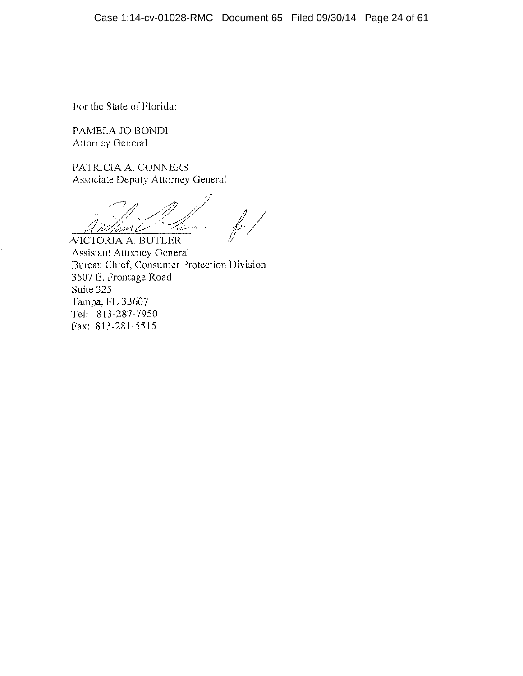For the State of Florida:

PAMELA JO BONDI **Attorney General** 

PATRICIA A. CONNERS Associate Deputy Attorney General

Harry hsset Le **VICTORIA A. BUTLER** 

**Assistant Attorney General** Bureau Chief, Consumer Protection Division 3507 E. Frontage Road Suite 325 Tampa, FL 33607 Tel: 813-287-7950 Fax: 813-281-5515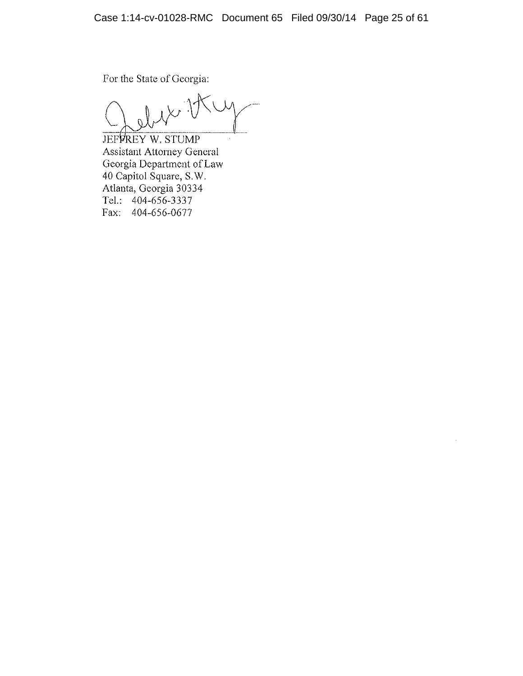For the State of Georgia:

 $15<sup>1</sup>$ 

**JEFFREY W. STUMP Assistant Attorney General** Georgia Department of Law 40 Capitol Square, S.W. Atlanta, Georgia 30334 Tel.: 404-656-3337 Fax: 404-656-0677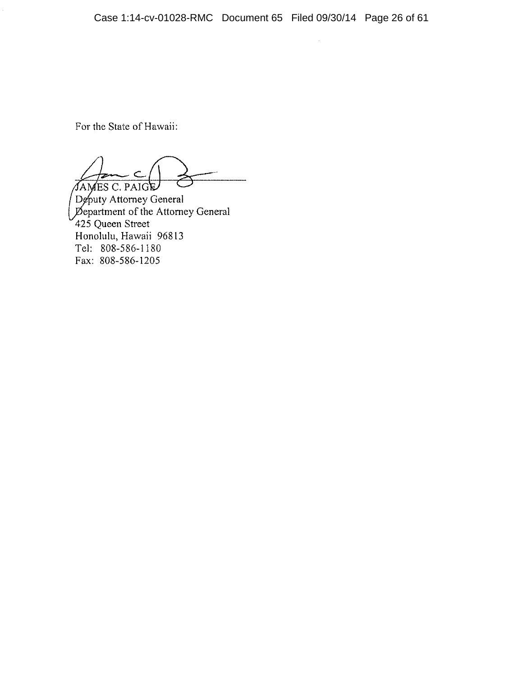For the State of Hawaii:

JAMES C. PAIGE

Deputy Attorney General<br>Department of the Attorney General 425 Queen Street Honolulu, Hawaii 96813 Tel: 808-586-1180 Fax: 808-586-1205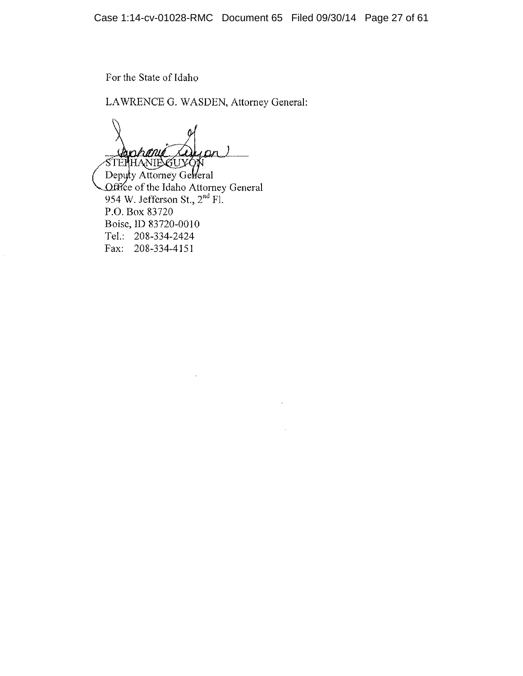For the State of Idaho

LAWRENCE G. WASDEN, Attorney General:

mr*hanik* メイ  $\epsilon$ STEPHANIE CUYON

Deputy Attorney Geheral Office of the Idaho Attorney General<br>954 W. Jefferson St.,  $2<sup>nd</sup>$  Fl. P.O. Box 83720 Boise, ID 83720-0010 Tel.: 208-334-2424 Fax: 208-334-4151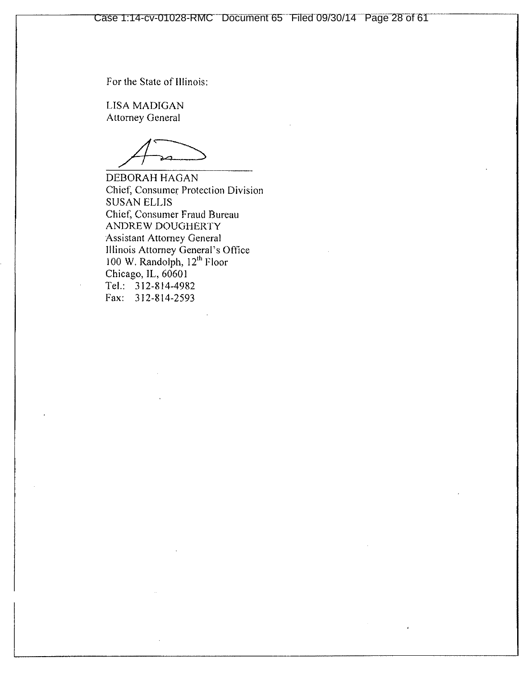For the State of Illinois:

**LISA MADIGAN Attorney General** 

DEBORAH HAGAN Chief, Consumer Protection Division **SUSAN ELLIS** Chief, Consumer Fraud Bureau ANDREW DOUGHERTY **Assistant Attorney General** Illinois Attorney General's Office<br>100 W. Randolph,  $12<sup>th</sup>$  Floor Chicago, IL, 60601 Tel.: 312-814-4982 Fax: 312-814-2593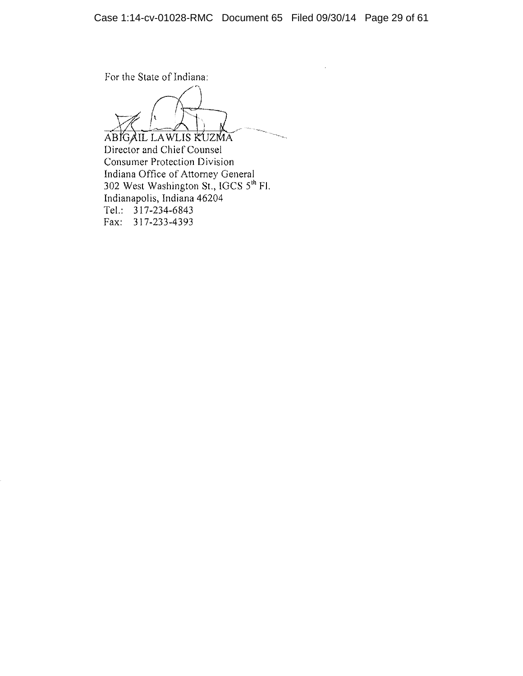For the State of Indiana:

ABIGAIL LAWLIS KUZMA

Director and Chief Counsel Consumer Protection Division Indiana Office of Attorney General 302 West Washington St., IGCS  $5^{th}$  Fl. Indianapolis, Indiana 46204 Tel.:  $317-234-6843$ Fax: 317-233-4393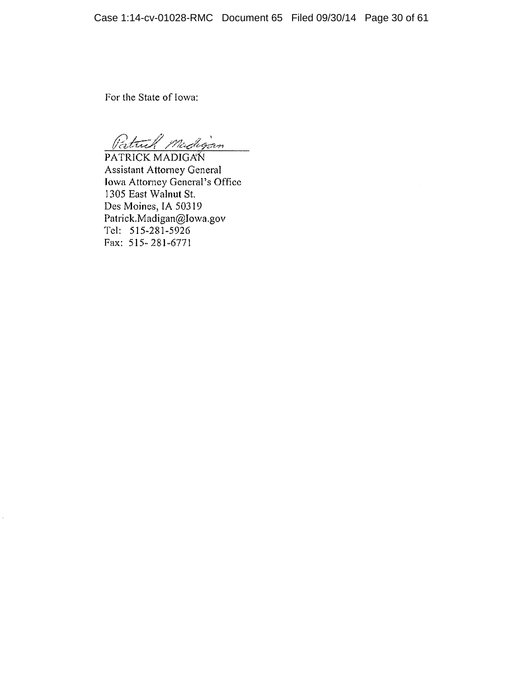For the State of Iowa:

à.

Patrick Medigan

PATRICK MADIGAN **Assistant Attorney General** Iowa Attorney General's Office 1305 East Walnut St. Des Moines, IA 50319 Patrick.Madigan@Iowa.gov Tel: 515-281-5926 Fax: 515-281-6771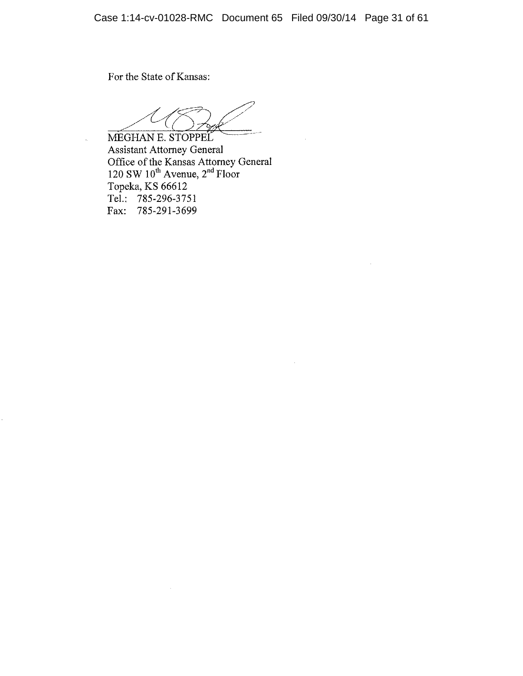For the State of Kansas:

MEGHAN E. STOPPEL **Assistant Attorney General** Assistant Attorney General<br>Office of the Kansas Attorney General<br>120 SW 10<sup>th</sup> Avenue, 2<sup>nd</sup> Floor<br>Topeka, KS 66612 Tel.: 785-296-3751 Fax: 785-291-3699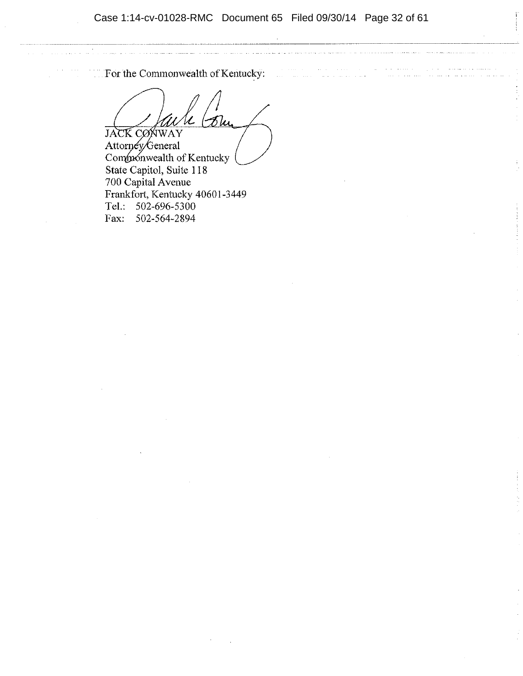Case 1:14-cv-01028-RMC Document 65 Filed 09/30/14 Page 32 of 61

For the Commonwealth of Kentucky:

المساحي المعامل المعامل المعامل المعامل المعامل المعامل المعامل المعامل المعامل المعامل المعامل المعامل المعام

**JACK CONWAY** 

Attorney/General Compronwealth of Kentucky State Capitol, Suite 118 700 Capital Avenue Frankfort, Kentucky 40601-3449 Tel.: 502-696-5300 Fax: 502-564-2894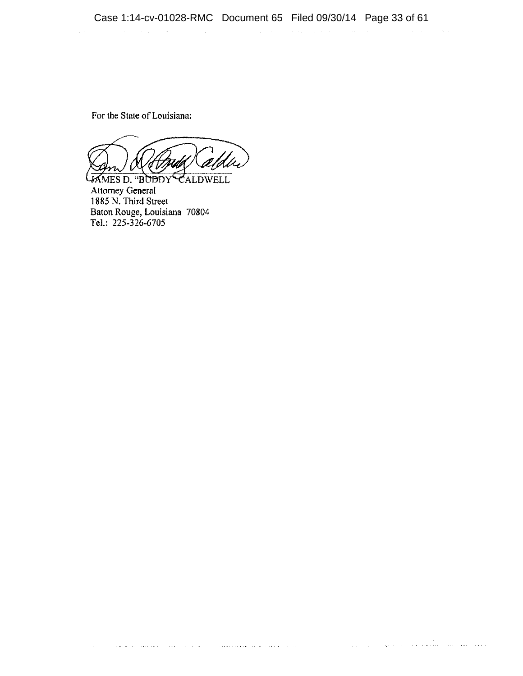a na magyar na magna sa karang kaominina na kaominina ny kaominina ampana na kaominina amin'ny kaominina mpana

 $\mathcal{L}^{\mathcal{L}}$  and the set of the set of the set of the set of the set of the set of the set of the set of the set of the set of the set of the set of the set of the set of the set of the set of the set of the set of the

 $\label{eq:2.1} \frac{1}{\sqrt{2}}\left(\frac{1}{\sqrt{2}}\right)^{2} \left(\frac{1}{\sqrt{2}}\right)^{2} \left(\frac{1}{\sqrt{2}}\right)^{2} \left(\frac{1}{\sqrt{2}}\right)^{2} \left(\frac{1}{\sqrt{2}}\right)^{2} \left(\frac{1}{\sqrt{2}}\right)^{2} \left(\frac{1}{\sqrt{2}}\right)^{2} \left(\frac{1}{\sqrt{2}}\right)^{2} \left(\frac{1}{\sqrt{2}}\right)^{2} \left(\frac{1}{\sqrt{2}}\right)^{2} \left(\frac{1}{\sqrt{2}}\right)^{2} \left(\$ 

For the State of Louisiana:

 $\hat{f}^{\dagger}$  and  $\hat{f}^{\dagger}$  are the space of the space of the space  $\hat{f}^{\dagger}$  and  $\hat{f}^{\dagger}$ 

JAMES D. "BUDDY CALDWELL **Attorney General** 1885 N. Third Street Baton Rouge, Louisiana 70804 Tel.: 225-326-6705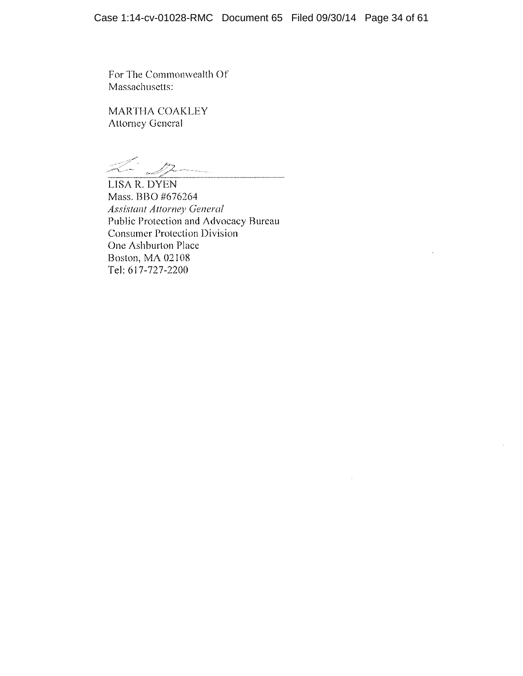For The Commonwealth Of Massachusetts:

MARTHA COAKLEY **Attorney General** 

LISA R. DYEN Mass. BBO #676264 **Assistant Attorney General** Public Protection and Advocacy Bureau **Consumer Protection Division** One Ashburton Place Boston, MA 02108 Tel: 617-727-2200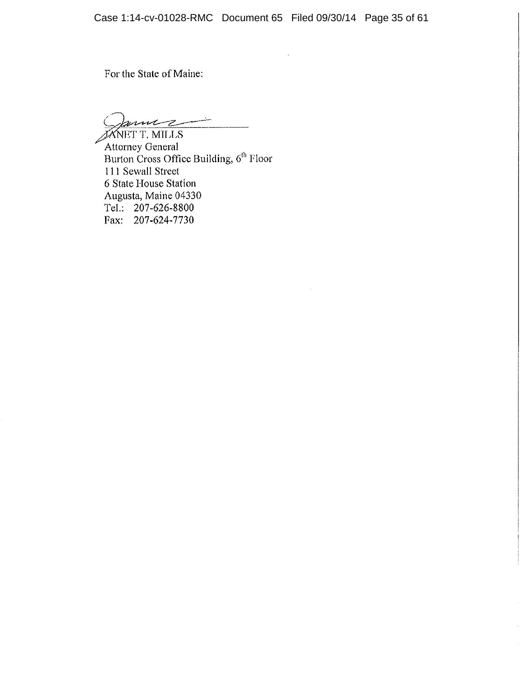For the State of Maine:

gume -2

**JANET T. MILLS** Attorney General Burton Cross Office Building, 6<sup>th</sup> Floor 111 Sewall Street 6 State House Station Augusta, Maine 04330 Tel.: 207-626-8800 Fax: 207-624-7730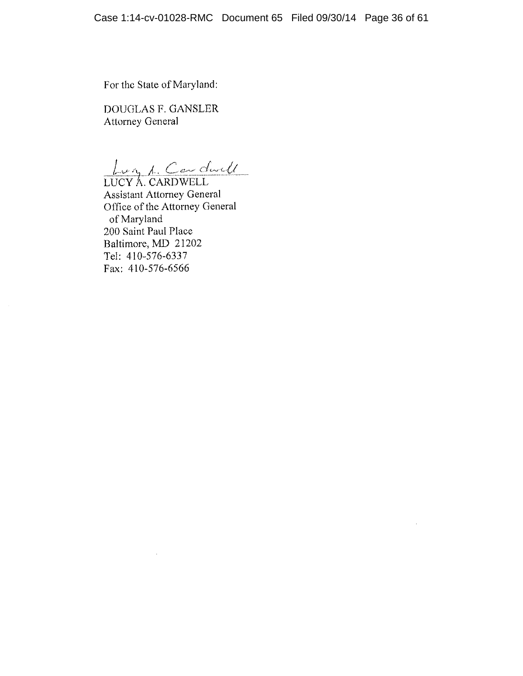For the State of Maryland:

DOUGLAS F. GANSLER **Attorney General** 

Lug 1 Cardwell

**Assistant Attorney General** Office of the Attorney General of Maryland 200 Saint Paul Place Baltimore, MD 21202 Tel: 410-576-6337 Fax: 410-576-6566

÷.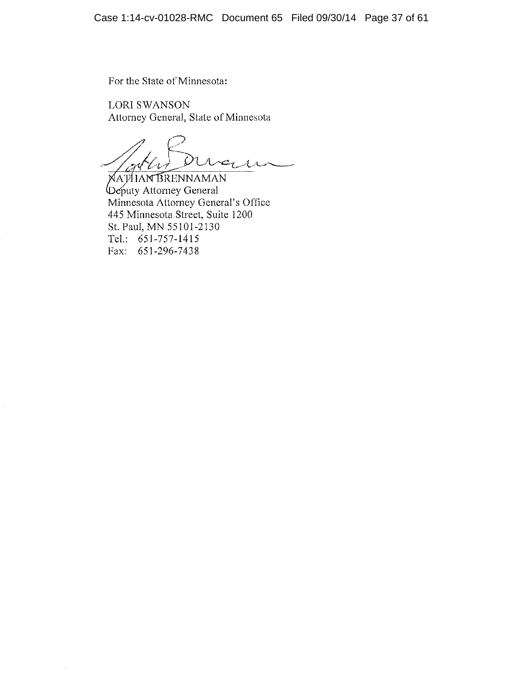For the State of Minnesota:

**LORI SWANSON** Attorney General, State of Minnesota

MARIAN PLA  $\mathcal{N}$ 

Deputy Attorney General<br>Minnesota Attorney General's Office 445 Minnesota Street, Suite 1200 St. Paul, MN 55101-2130 Tel.: 651-757-1415 Fax: 651-296-7438

 $\bar{z}$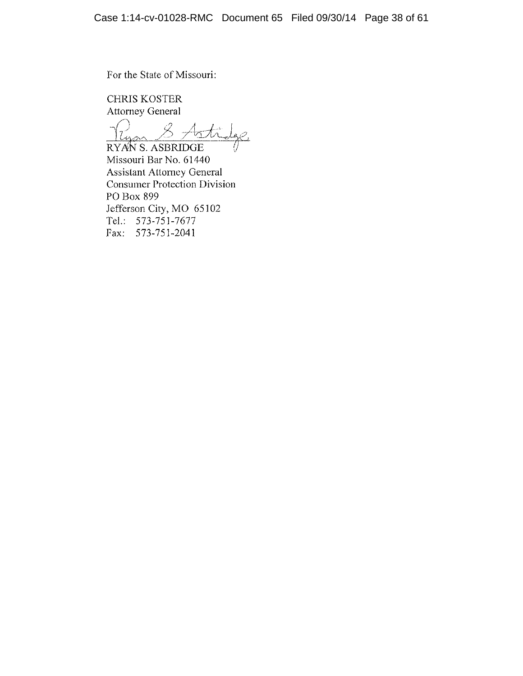For the State of Missouri:

**CHRIS KOSTER Attorney General** 

8 Astilge <u>gar</u> . RYAN S. ASBRIDGE

Missouri Bar No. 61440 **Assistant Attorney General Consumer Protection Division** PO Box 899 Jefferson City, MO 65102 Tel.: 573-751-7677 Fax: 573-751-2041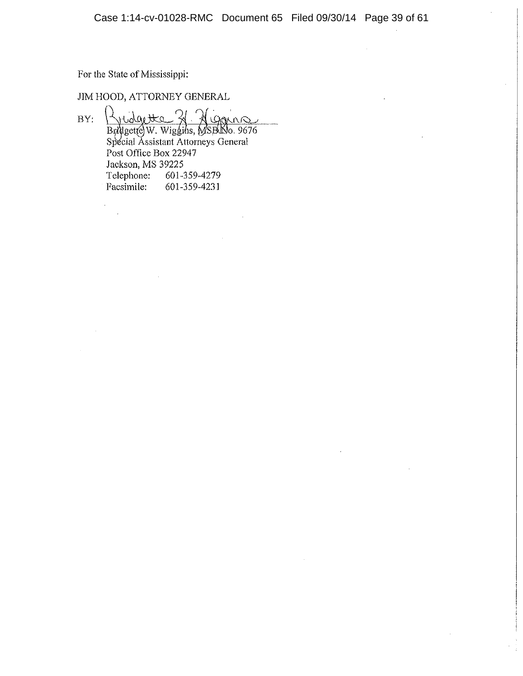For the State of Mississippi:

 $\mathbb{R}^2$ 

JIM HOOD, ATTORNEY GENERAL

Bridgette 31 Algons  $BY:$ Post Office Box 22947 Jackson, MS 39225 Telephone: 601-359-4279 Facsimile: 601-359-4231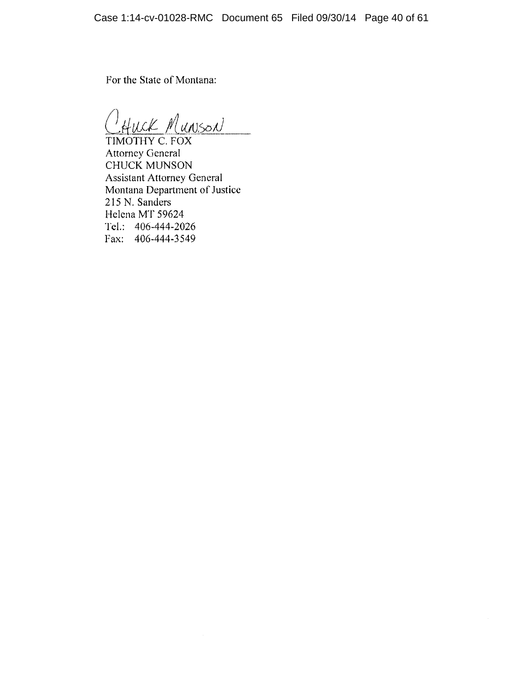For the State of Montana:

HUCK MUNSON

TIMOTHY C. FOX **Attorney General CHUCK MUNSON Assistant Attorney General** Montana Department of Justice 215 N. Sanders Helena MT 59624 Tel.:  $406 - 444 - 2026$ Fax: 406-444-3549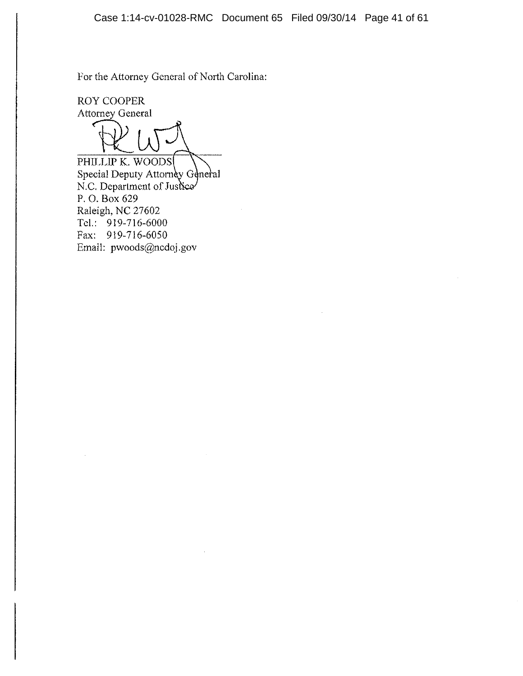For the Attorney General of North Carolina:

**ROY COOPER Attorney General** 

PHILLIP K. WOODS Special Deputy Attorney General N.C. Department of Justice P.O. Box 629 Raleigh, NC 27602 Tel.:  $919-716-6000$ Fax: 919-716-6050 Email: pwoods@ncdoj.gov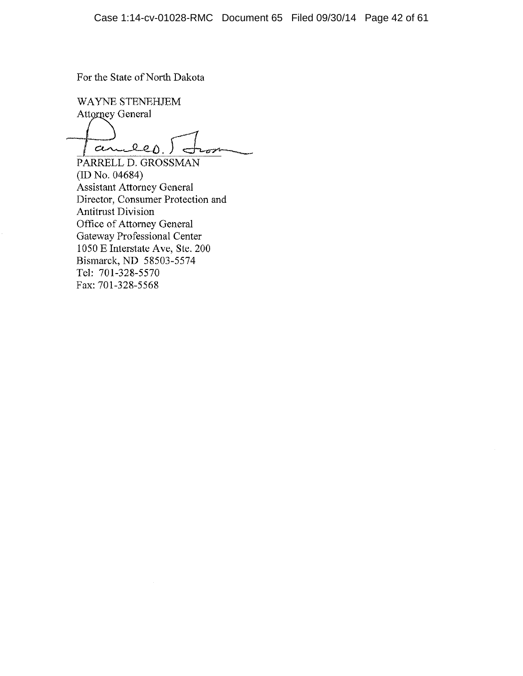For the State of North Dakota

WAYNE STENEHJEM Attorney General ander  $252$ 

PARRELL D. GROSSMAN  $(ID No. 04684)$ Assistant Attorney General Director, Consumer Protection and **Antitrust Division** Office of Attorney General Gateway Professional Center 1050 E Interstate Ave, Ste. 200 Bismarck, ND 58503-5574 Tel: 701-328-5570 Fax: 701-328-5568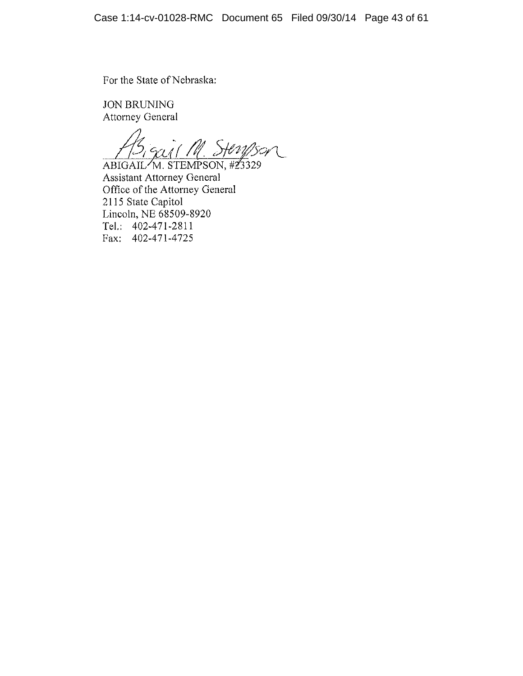For the State of Nebraska:

**JON BRUNING Attorney General** 

AB<sub>1</sub> Suit M. Steryson

**Assistant Attorney General** Office of the Attorney General 2115 State Capitol Lincoln, NE 68509-8920 Tel.:  $402-471-2811$ Fax: 402-471-4725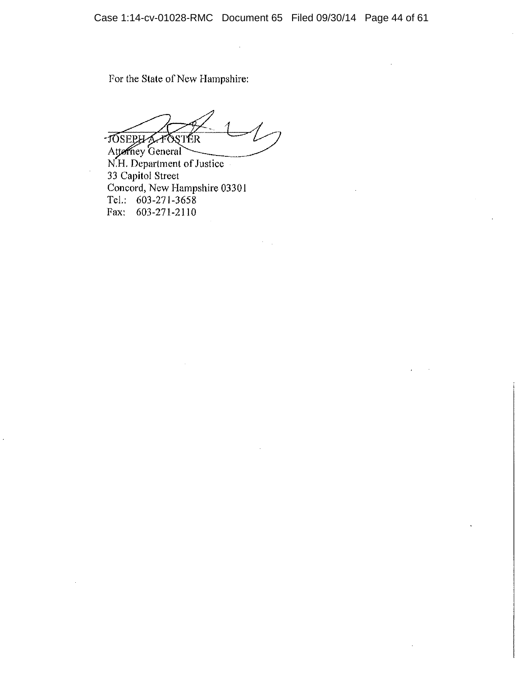For the State of New Hampshire:

-JOSEPHA-FOSTER

Attorney General<br>N.H. Department of Justice 33 Capitol Street Concord, New Hampshire 03301 Tel.: 603-271-3658 Fax: 603-271-2110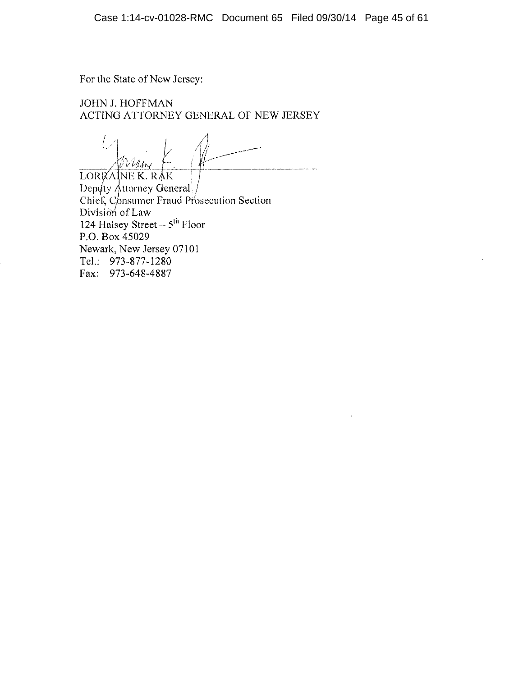For the State of New Jersey:

# **JOHN J. HOFFMAN** ACTING ATTORNEY GENERAL OF NEW JERSEY

Willer

LORKAINE K. RAK Deputy Attorney General /<br>Chief, Consumer Fraud Prosecution Section Division of Law 124 Halsey Street  $-5<sup>th</sup>$  Floor P.O. Box 45029 Newark, New Jersey 07101 Tel.: 973-877-1280 Fax: 973-648-4887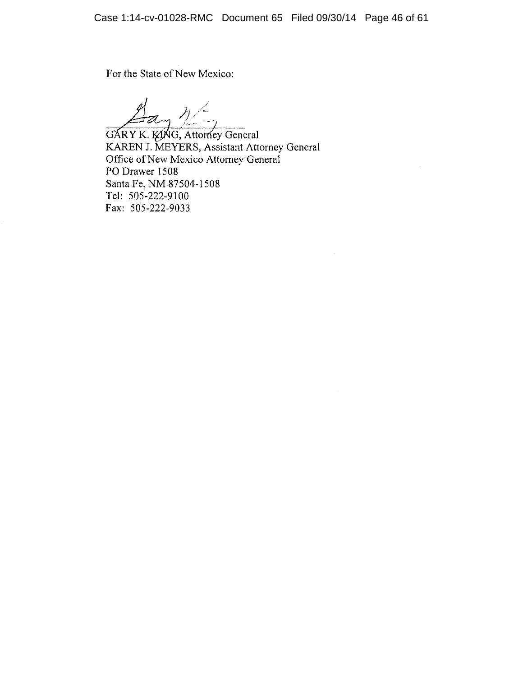$\sim$ 

For the State of New Mexico:

Hay 12<br>GARY K. KING, Attorney General<br>KAREN J. MEYERS, Assistant Attorney General Office of New Mexico Attorney General PO Drawer 1508 Santa Fe, NM 87504-1508 Tel: 505-222-9100 Fax: 505-222-9033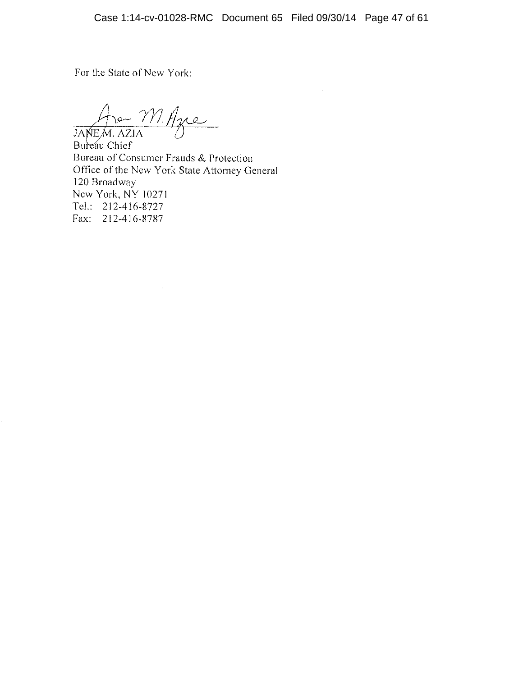For the State of New York:

JANEM AZIA

Bureau Chief Bureau of Consumer Frauds & Protection Office of the New York State Attorney General 120 Broadway New York, NY 10271 Tel.: 212-416-8727 Fax: 212-416-8787

 $\sim$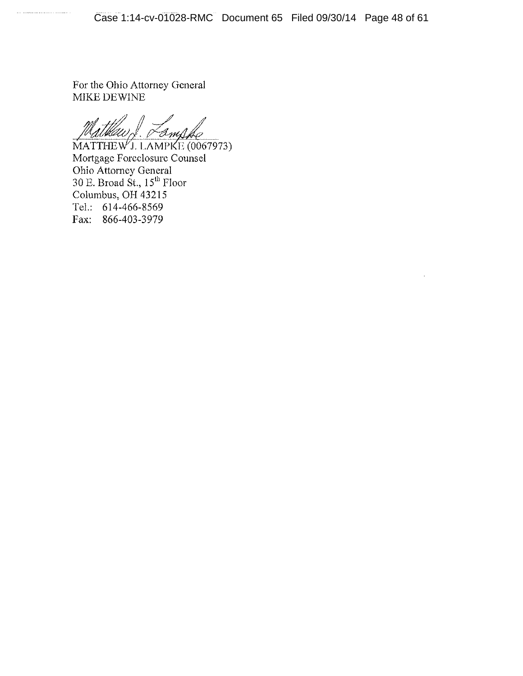For the Ohio Attorney General MIKE DEWINE

 $\overline{\text{MATTHEW}}$ J. LAMPKE (0067973) Mortgage Foreclosure Counsel Ohio Attorney General<br>30 E. Broad St., 15<sup>th</sup> Floor<br>Columbus, OH 43215 Tel.: 614-466-8569 Fax: 866-403-3979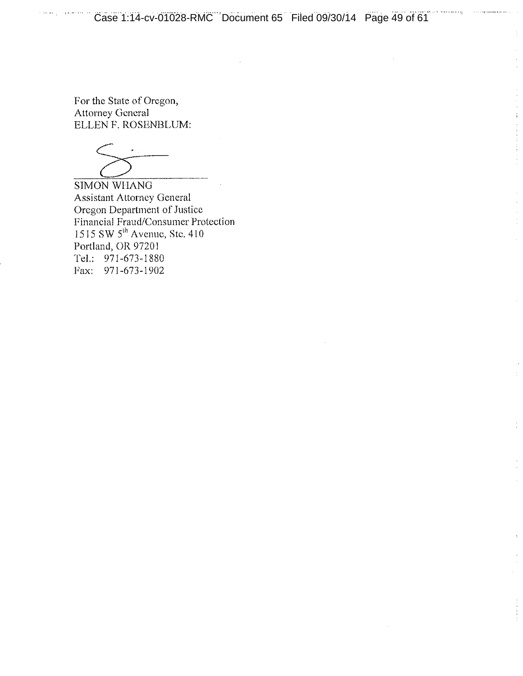For the State of Oregon, **Attorney General** ELLEN F. ROSENBLUM:

**SIMON WHANG Assistant Attorney General** Oregon Department of Justice Financial Fraud/Consumer Protection<br>1515 SW  $5^{\text{th}}$  Avenue, Ste. 410 Portland, OR 97201 Tel.: 971-673-1880 Fax: 971-673-1902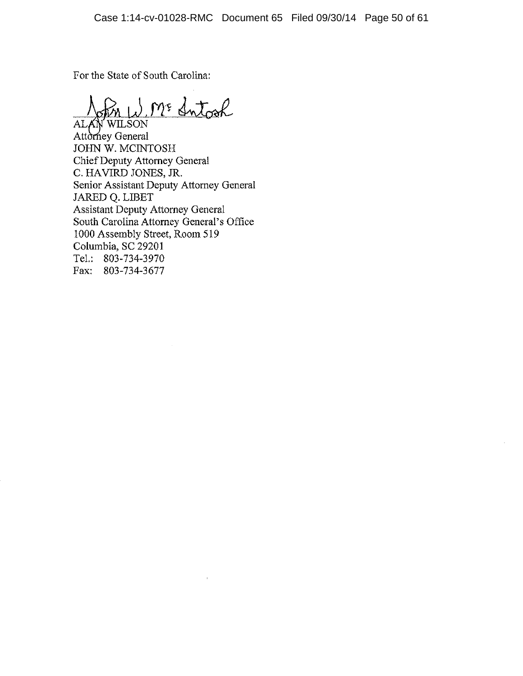For the State of South Carolina:

in W. M. Sntock

ALAN WILSON Attorney General JOHN W. MCINTOSH Chief Deputy Attorney General C. HAVIRD JONES, JR. Senior Assistant Deputy Attorney General JARED Q. LIBET **Assistant Deputy Attorney General** South Carolina Attorney General's Office 1000 Assembly Street, Room 519 Columbia, SC 29201 Tel.: 803-734-3970 Fax: 803-734-3677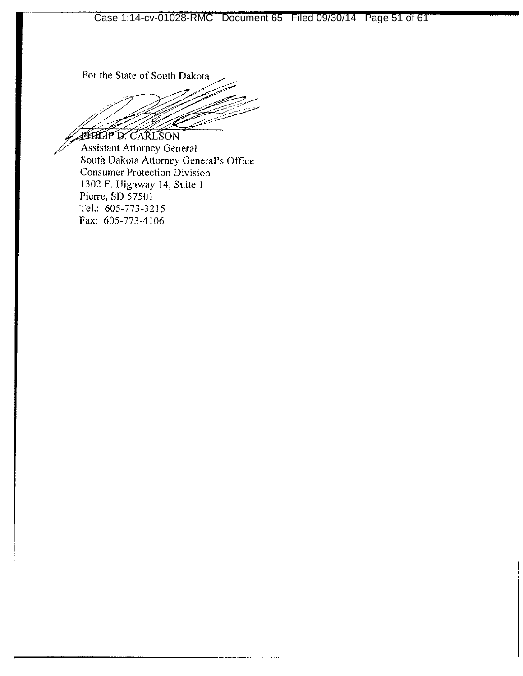For the State of South Dakota:

**PHILIP D. CARLSON** 

**Assistant Attorney General** South Dakota Attorney General's Office **Consumer Protection Division** 1302 E. Highway 14, Suite 1 Pierre, SD 57501 Tel.: 605-773-3215 Fax: 605-773-4106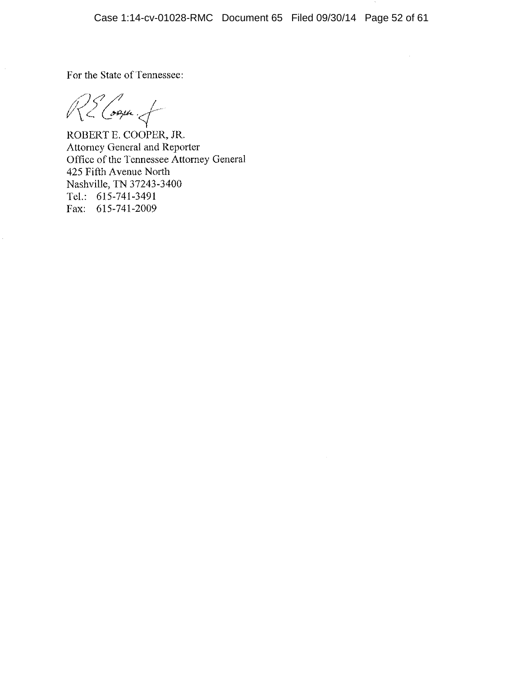For the State of Tennessee:

RE Cooper of

ROBERT E. COOPER, JR. Attorney General and Reporter Office of the Tennessee Attorney General 425 Fifth Avenue North Nashville, TN 37243-3400 Tel.: 615-741-3491 Fax: 615-741-2009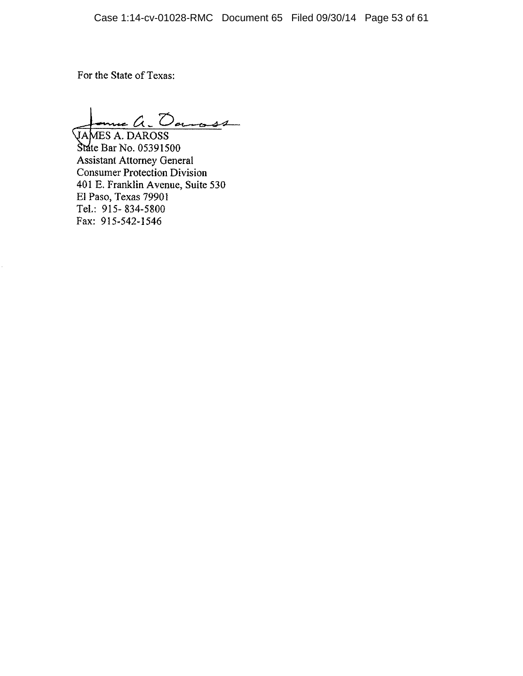For the State of Texas:

me a. Dansse **VAMES A. DAROSS** 

State Bar No. 05391500 **Assistant Attorney General Consumer Protection Division** 401 E. Franklin Avenue, Suite 530 El Paso, Texas 79901 Tel.: 915-834-5800 Fax: 915-542-1546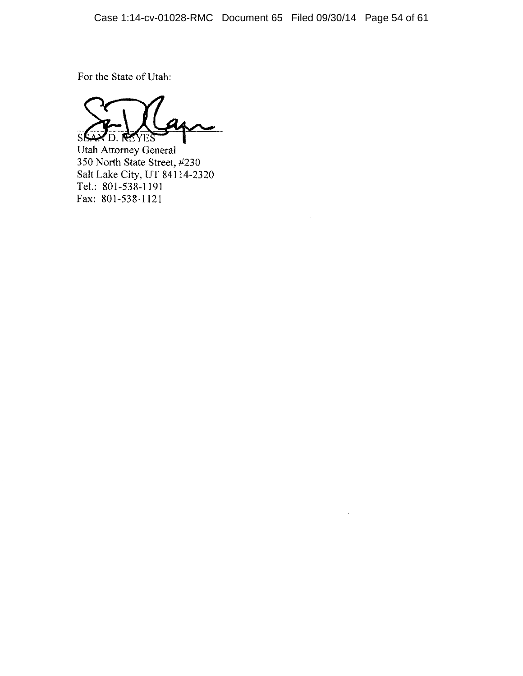$\bar{\gamma}$ 

For the State of Utah:

÷ Sß **MD. REYES** 

**Utah Attorney General** 350 North State Street, #230 Salt Lake City, UT 84114-2320 Tel.: 801-538-1191 Fax: 801-538-1121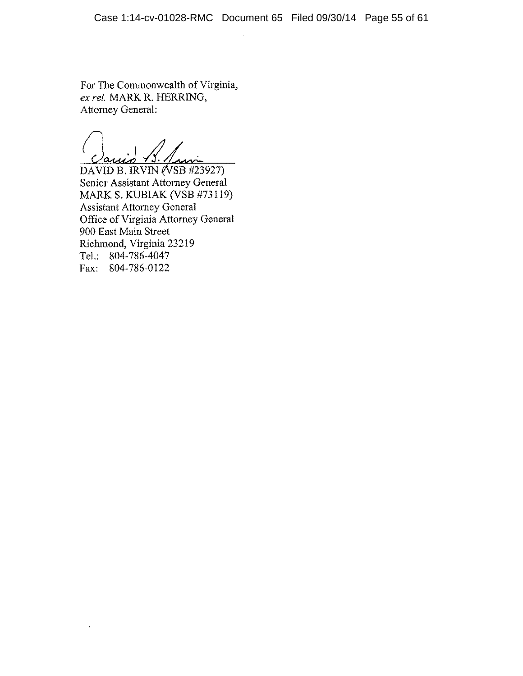For The Commonwealth of Virginia, ex rel. MARK R. HERRING, **Attorney General:** 

DAVID B. IRVIN (VSB #23927)

Senior Assistant Attorney General MARK S. KUBIAK (VSB #73119) **Assistant Attorney General** Office of Virginia Attorney General 900 East Main Street Richmond, Virginia 23219 Tel.: 804-786-4047 Fax: 804-786-0122

l,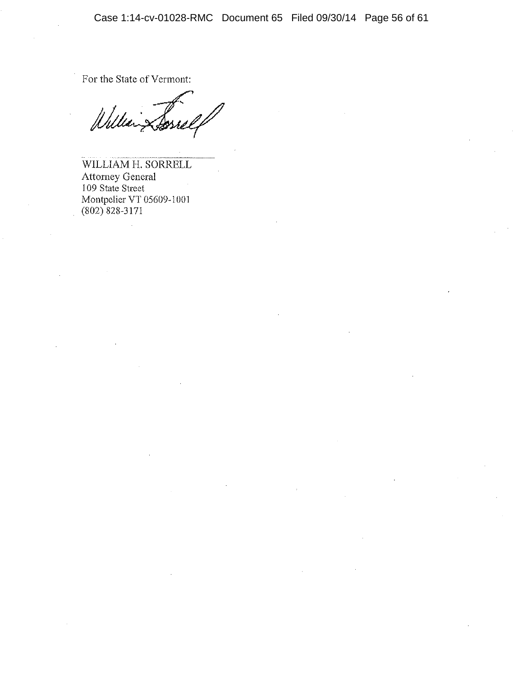For the State of Vermont:

Jĺ

WILLIAM H. SORRELL Attorney General<br>109 State Street Montpelier VT 05609-1001  $(802)$  828-3171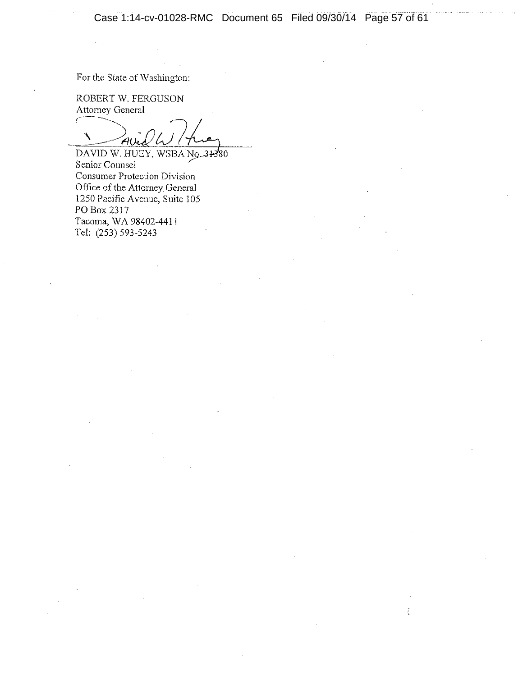ŧ

For the State of Washington:

ROBERT W. FERGUSON Attorney General

 $\mathcal{A}$ l

DAVID W. HUEY, WSBA No. 31380 Senior Counsel Consumer Protection Division Office of the Attorney General 1250 Pacific Avenue, Suite 105 PO Box 2317 Tacoma, WA 98402-4411 Tel: (253) 593-5243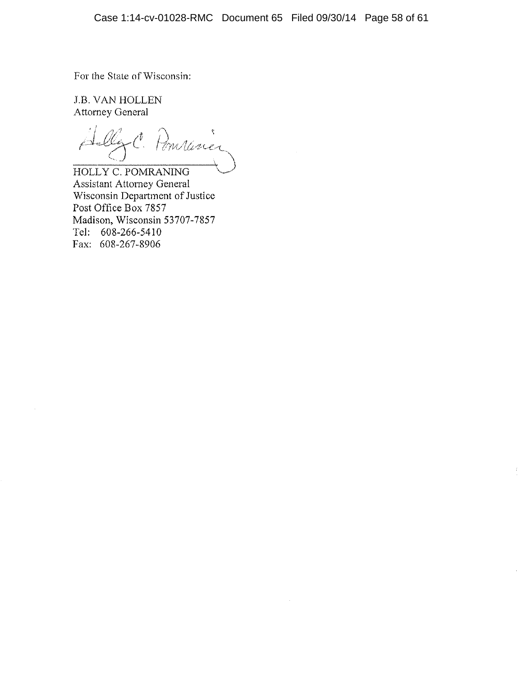For the State of Wisconsin:

**J.B. VAN HOLLEN Attorney General** 

Ally C. Pomminer

HOLLY C. POMRANING **Assistant Attorney General** Wisconsin Department of Justice Post Office Box 7857 Madison, Wisconsin 53707-7857 Tel: 608-266-5410 Fax: 608-267-8906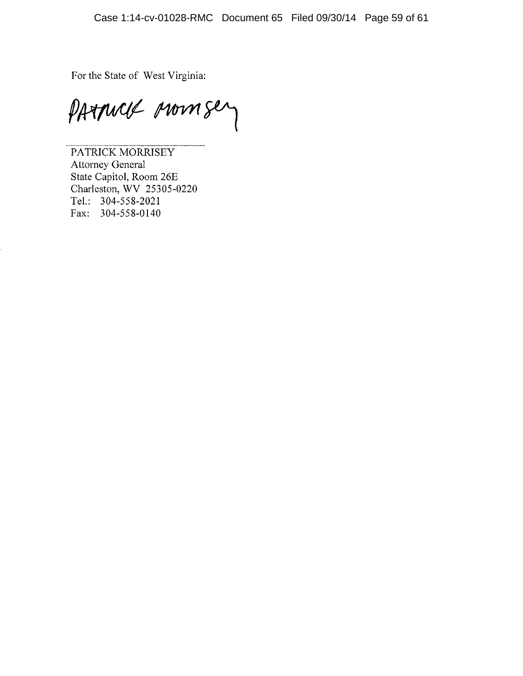For the State of West Virginia:

PATTWEE MONTERY

PATRICK MORRISEY Attorney General State Capitol, Room 26E Charleston, WV 25305-0220 Tel.: 304-558-2021 Fax: 304-558-0140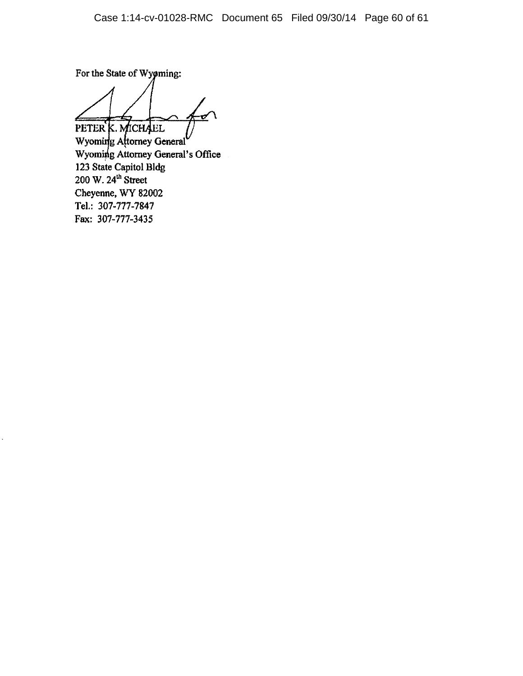For the State of Wyøming:

PETER K. MICHAEL

Wyoming Attorney General Wyoming Attorney General's Office 123 State Capitol Bldg<br>200 W.  $24<sup>th</sup>$  Street Cheyenne, WY 82002 Tel.: 307-777-7847 Fax: 307-777-3435